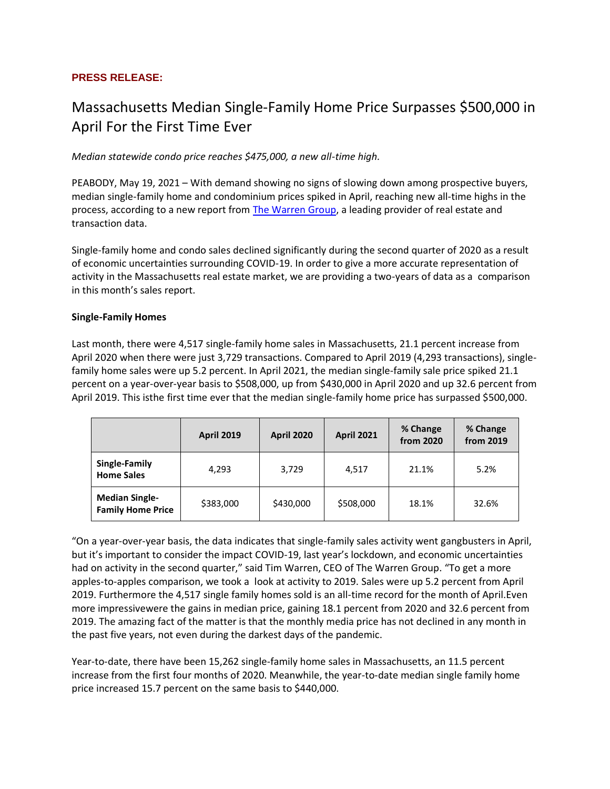## **PRESS RELEASE:**

# Massachusetts Median Single-Family Home Price Surpasses \$500,000 in April For the First Time Ever

*Median statewide condo price reaches \$475,000, a new all-time high.*

PEABODY, May 19, 2021 – With demand showing no signs of slowing down among prospective buyers, median single-family home and condominium prices spiked in April, reaching new all-time highs in the process, according to a new report from [The Warren Group,](https://www.thewarrengroup.com/) a leading provider of real estate and transaction data.

Single-family home and condo sales declined significantly during the second quarter of 2020 as a result of economic uncertainties surrounding COVID-19. In order to give a more accurate representation of activity in the Massachusetts real estate market, we are providing a two-years of data as a comparison in this month's sales report.

#### **Single-Family Homes**

Last month, there were 4,517 single-family home sales in Massachusetts, 21.1 percent increase from April 2020 when there were just 3,729 transactions. Compared to April 2019 (4,293 transactions), singlefamily home sales were up 5.2 percent. In April 2021, the median single-family sale price spiked 21.1 percent on a year-over-year basis to \$508,000, up from \$430,000 in April 2020 and up 32.6 percent from April 2019. This isthe first time ever that the median single-family home price has surpassed \$500,000.

|                                                   | <b>April 2019</b> | <b>April 2020</b> | <b>April 2021</b> | % Change<br>from 2020 | % Change<br>from 2019 |
|---------------------------------------------------|-------------------|-------------------|-------------------|-----------------------|-----------------------|
| Single-Family<br><b>Home Sales</b>                | 4,293             | 3,729             | 4,517             | 21.1%                 | 5.2%                  |
| <b>Median Single-</b><br><b>Family Home Price</b> | \$383,000         | \$430,000         | \$508,000         | 18.1%                 | 32.6%                 |

"On a year-over-year basis, the data indicates that single-family sales activity went gangbusters in April, but it's important to consider the impact COVID-19, last year's lockdown, and economic uncertainties had on activity in the second quarter," said Tim Warren, CEO of The Warren Group. "To get a more apples-to-apples comparison, we took a look at activity to 2019. Sales were up 5.2 percent from April 2019. Furthermore the 4,517 single family homes sold is an all-time record for the month of April.Even more impressivewere the gains in median price, gaining 18.1 percent from 2020 and 32.6 percent from 2019. The amazing fact of the matter is that the monthly media price has not declined in any month in the past five years, not even during the darkest days of the pandemic.

Year-to-date, there have been 15,262 single-family home sales in Massachusetts, an 11.5 percent increase from the first four months of 2020. Meanwhile, the year-to-date median single family home price increased 15.7 percent on the same basis to \$440,000.